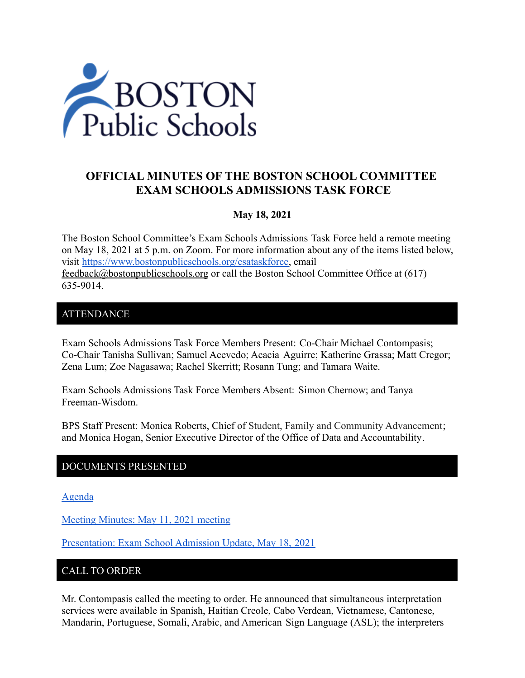

# **OFFICIAL MINUTES OF THE BOSTON SCHOOL COMMITTEE EXAM SCHOOLS ADMISSIONS TASK FORCE**

#### **May 18, 2021**

The Boston School Committee's Exam Schools Admissions Task Force held a remote meeting on May 18, 2021 at 5 p.m. on Zoom. For more information about any of the items listed below, visit [https://www.bostonpublicschools.org/esataskforce,](https://www.bostonpublicschools.org/esataskforce) email [feedback@bostonpublicschools.org](mailto:feedback@bostonpublicschools.org) or call the Boston School Committee Office at (617) 635-9014.

#### **ATTENDANCE**

Exam Schools Admissions Task Force Members Present: Co-Chair Michael Contompasis; Co-Chair Tanisha Sullivan; Samuel Acevedo; Acacia Aguirre; Katherine Grassa; Matt Cregor; Zena Lum; Zoe Nagasawa; Rachel Skerritt; Rosann Tung; and Tamara Waite.

Exam Schools Admissions Task Force Members Absent: Simon Chernow; and Tanya Freeman-Wisdom.

BPS Staff Present: Monica Roberts, Chief of Student, Family and Community Advancement; and Monica Hogan, Senior Executive Director of the Office of Data and Accountability.

### DOCUMENTS PRESENTED

[Agenda](https://www.boston.gov/public-notices/15067741)

[Meeting Minutes: May 11, 2021 meeting](https://www.bostonpublicschools.org/cms/lib/MA01906464/Centricity/Domain/2931/Minutes%205%2011%2021%20Exam%20School%20Admission%20TF%20Meeting.docx.pdf)

[Presentation: Exam School Admission Update, May 18,](https://www.bostonpublicschools.org/cms/lib/MA01906464/Centricity/Domain/2931/Exam%20School%20Task%20Force%20%205%2018%2021.pdf) 2021

### CALL TO ORDER

Mr. Contompasis called the meeting to order. He announced that simultaneous interpretation services were available in Spanish, Haitian Creole, Cabo Verdean, Vietnamese, Cantonese, Mandarin, Portuguese, Somali, Arabic, and American Sign Language (ASL); the interpreters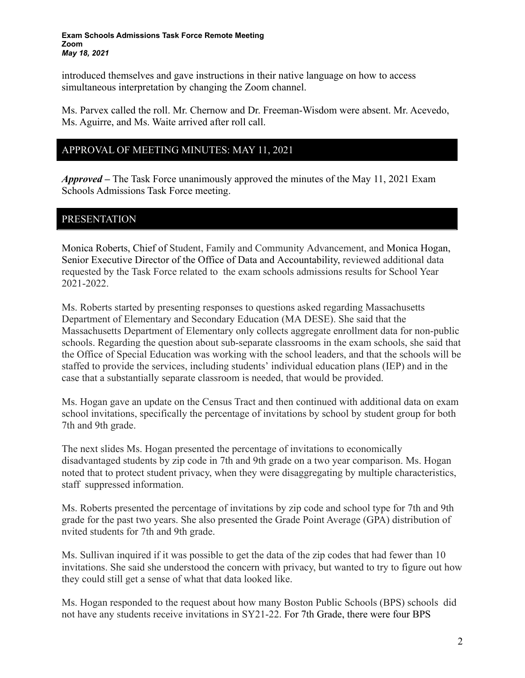#### **Exam Schools Admissions Task Force Remote Meeting Zoom** *May 18, 2021*

introduced themselves and gave instructions in their native language on how to access simultaneous interpretation by changing the Zoom channel.

Ms. Parvex called the roll. Mr. Chernow and Dr. Freeman-Wisdom were absent. Mr. Acevedo, Ms. Aguirre, and Ms. Waite arrived after roll call.

#### APPROVAL OF MEETING MINUTES: MAY 11, 2021

*Approved –* The Task Force unanimously approved the minutes of the May 11, 2021 Exam Schools Admissions Task Force meeting.

### PRESENTATION

Monica Roberts, Chief of Student, Family and Community Advancement, and Monica Hogan, Senior Executive Director of the Office of Data and Accountability, reviewed additional data requested by the Task Force related to the exam schools admissions results for School Year 2021-2022.

Ms. Roberts started by presenting responses to questions asked regarding Massachusetts Department of Elementary and Secondary Education (MA DESE). She said that the Massachusetts Department of Elementary only collects aggregate enrollment data for non-public schools. Regarding the question about sub-separate classrooms in the exam schools, she said that the Office of Special Education was working with the school leaders, and that the schools will be staffed to provide the services, including students' individual education plans (IEP) and in the case that a substantially separate classroom is needed, that would be provided.

Ms. Hogan gave an update on the Census Tract and then continued with additional data on exam school invitations, specifically the percentage of invitations by school by student group for both 7th and 9th grade.

The next slides Ms. Hogan presented the percentage of invitations to economically disadvantaged students by zip code in 7th and 9th grade on a two year comparison. Ms. Hogan noted that to protect student privacy, when they were disaggregating by multiple characteristics, staff suppressed information.

Ms. Roberts presented the percentage of invitations by zip code and school type for 7th and 9th grade for the past two years. She also presented the Grade Point Average (GPA) distribution of nvited students for 7th and 9th grade.

Ms. Sullivan inquired if it was possible to get the data of the zip codes that had fewer than 10 invitations. She said she understood the concern with privacy, but wanted to try to figure out how they could still get a sense of what that data looked like.

Ms. Hogan responded to the request about how many Boston Public Schools (BPS) schools did not have any students receive invitations in SY21-22. For 7th Grade, there were four BPS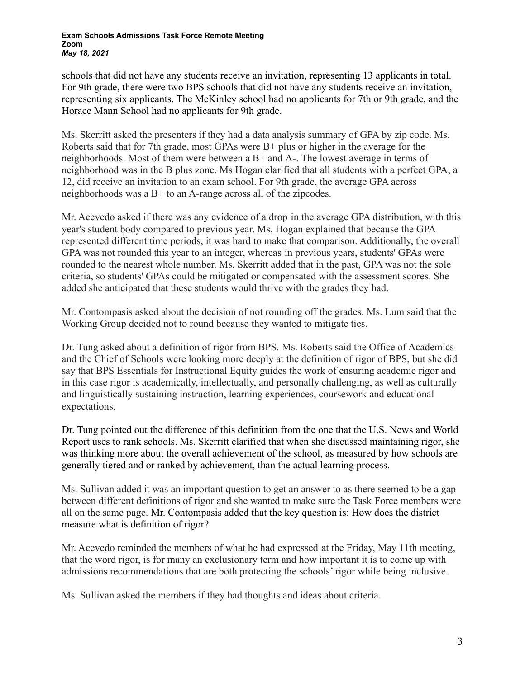schools that did not have any students receive an invitation, representing 13 applicants in total. For 9th grade, there were two BPS schools that did not have any students receive an invitation, representing six applicants. The McKinley school had no applicants for 7th or 9th grade, and the Horace Mann School had no applicants for 9th grade.

Ms. Skerritt asked the presenters if they had a data analysis summary of GPA by zip code. Ms. Roberts said that for 7th grade, most GPAs were B+ plus or higher in the average for the neighborhoods. Most of them were between a B+ and A-. The lowest average in terms of neighborhood was in the B plus zone. Ms Hogan clarified that all students with a perfect GPA, a 12, did receive an invitation to an exam school. For 9th grade, the average GPA across neighborhoods was a B+ to an A-range across all of the zipcodes.

Mr. Acevedo asked if there was any evidence of a drop in the average GPA distribution, with this year's student body compared to previous year. Ms. Hogan explained that because the GPA represented different time periods, it was hard to make that comparison. Additionally, the overall GPA was not rounded this year to an integer, whereas in previous years, students' GPAs were rounded to the nearest whole number. Ms. Skerritt added that in the past, GPA was not the sole criteria, so students' GPAs could be mitigated or compensated with the assessment scores. She added she anticipated that these students would thrive with the grades they had.

Mr. Contompasis asked about the decision of not rounding off the grades. Ms. Lum said that the Working Group decided not to round because they wanted to mitigate ties.

Dr. Tung asked about a definition of rigor from BPS. Ms. Roberts said the Office of Academics and the Chief of Schools were looking more deeply at the definition of rigor of BPS, but she did say that BPS Essentials for Instructional Equity guides the work of ensuring academic rigor and in this case rigor is academically, intellectually, and personally challenging, as well as culturally and linguistically sustaining instruction, learning experiences, coursework and educational expectations.

Dr. Tung pointed out the difference of this definition from the one that the U.S. News and World Report uses to rank schools. Ms. Skerritt clarified that when she discussed maintaining rigor, she was thinking more about the overall achievement of the school, as measured by how schools are generally tiered and or ranked by achievement, than the actual learning process.

Ms. Sullivan added it was an important question to get an answer to as there seemed to be a gap between different definitions of rigor and she wanted to make sure the Task Force members were all on the same page. Mr. Contompasis added that the key question is: How does the district measure what is definition of rigor?

Mr. Acevedo reminded the members of what he had expressed at the Friday, May 11th meeting, that the word rigor, is for many an exclusionary term and how important it is to come up with admissions recommendations that are both protecting the schools' rigor while being inclusive.

Ms. Sullivan asked the members if they had thoughts and ideas about criteria.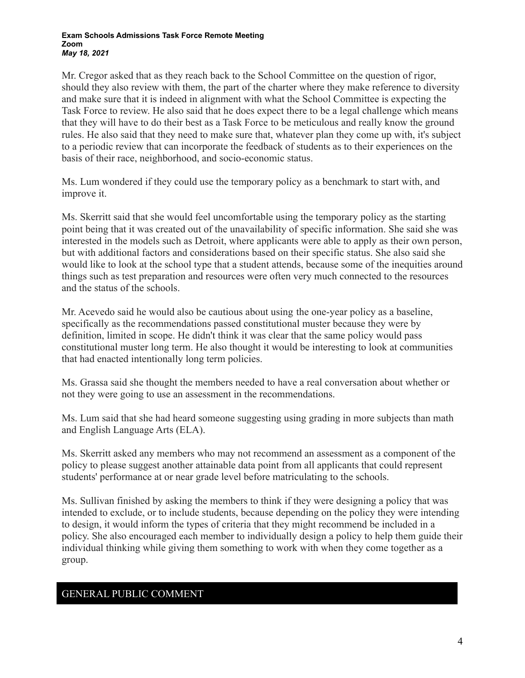#### **Exam Schools Admissions Task Force Remote Meeting Zoom** *May 18, 2021*

Mr. Cregor asked that as they reach back to the School Committee on the question of rigor, should they also review with them, the part of the charter where they make reference to diversity and make sure that it is indeed in alignment with what the School Committee is expecting the Task Force to review. He also said that he does expect there to be a legal challenge which means that they will have to do their best as a Task Force to be meticulous and really know the ground rules. He also said that they need to make sure that, whatever plan they come up with, it's subject to a periodic review that can incorporate the feedback of students as to their experiences on the basis of their race, neighborhood, and socio-economic status.

Ms. Lum wondered if they could use the temporary policy as a benchmark to start with, and improve it.

Ms. Skerritt said that she would feel uncomfortable using the temporary policy as the starting point being that it was created out of the unavailability of specific information. She said she was interested in the models such as Detroit, where applicants were able to apply as their own person, but with additional factors and considerations based on their specific status. She also said she would like to look at the school type that a student attends, because some of the inequities around things such as test preparation and resources were often very much connected to the resources and the status of the schools.

Mr. Acevedo said he would also be cautious about using the one-year policy as a baseline, specifically as the recommendations passed constitutional muster because they were by definition, limited in scope. He didn't think it was clear that the same policy would pass constitutional muster long term. He also thought it would be interesting to look at communities that had enacted intentionally long term policies.

Ms. Grassa said she thought the members needed to have a real conversation about whether or not they were going to use an assessment in the recommendations.

Ms. Lum said that she had heard someone suggesting using grading in more subjects than math and English Language Arts (ELA).

Ms. Skerritt asked any members who may not recommend an assessment as a component of the policy to please suggest another attainable data point from all applicants that could represent students' performance at or near grade level before matriculating to the schools.

Ms. Sullivan finished by asking the members to think if they were designing a policy that was intended to exclude, or to include students, because depending on the policy they were intending to design, it would inform the types of criteria that they might recommend be included in a policy. She also encouraged each member to individually design a policy to help them guide their individual thinking while giving them something to work with when they come together as a group.

## GENERAL PUBLIC COMMENT